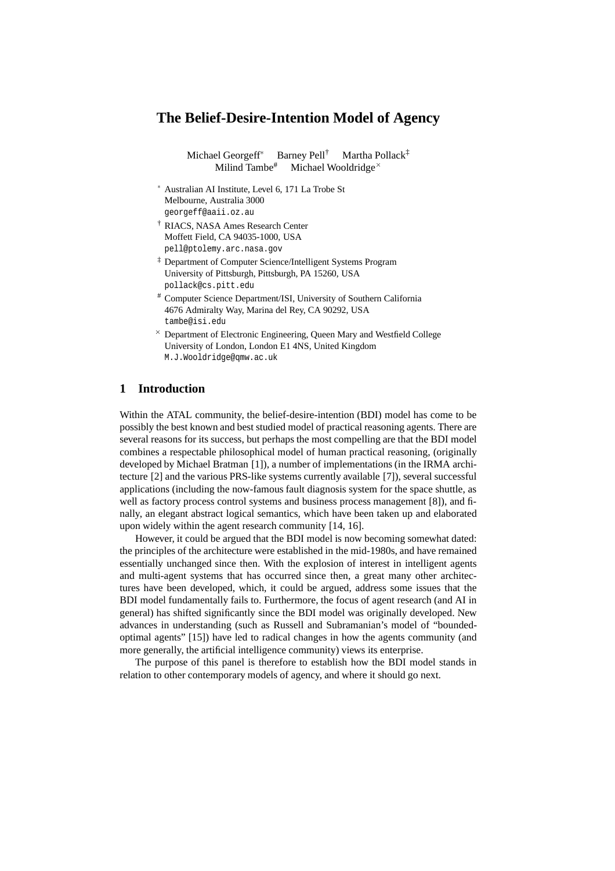# **The Belief-Desire-Intention Model of Agency**

Michael Georgeff<sup>\*</sup> Barney Pell<sup>†</sup> Martha Pollack<sup>‡</sup> Milind Tambe<sup>#</sup> Michael Wooldridge<sup> $\times$ </sup>

- Australian AI Institute, Level 6, 171 La Trobe St Melbourne, Australia 3000 georgeff@aaii.oz.au
- † RIACS, NASA Ames Research Center Moffett Field, CA 94035-1000, USA pell@ptolemy.arc.nasa.gov
- ‡ Department of Computer Science/Intelligent Systems Program University of Pittsburgh, Pittsburgh, PA 15260, USA pollack@cs.pitt.edu
- # Computer Science Department/ISI, University of Southern California 4676 Admiralty Way, Marina del Rey, CA 90292, USA tambe@isi.edu
- $^{\times}$  Department of Electronic Engineering, Queen Mary and Westfield College University of London, London E1 4NS, United Kingdom M.J.Wooldridge@qmw.ac.uk

### **1 Introduction**

Within the ATAL community, the belief-desire-intention (BDI) model has come to be possibly the best known and best studied model of practical reasoning agents. There are several reasons for its success, but perhaps the most compelling are that the BDI model combines a respectable philosophical model of human practical reasoning, (originally developed by Michael Bratman [1]), a number of implementations (in the IRMA architecture [2] and the various PRS-like systems currently available [7]), several successful applications (including the now-famous fault diagnosis system for the space shuttle, as well as factory process control systems and business process management [8]), and finally, an elegant abstract logical semantics, which have been taken up and elaborated upon widely within the agent research community [14, 16].

However, it could be argued that the BDI model is now becoming somewhat dated: the principles of the architecture were established in the mid-1980s, and have remained essentially unchanged since then. With the explosion of interest in intelligent agents and multi-agent systems that has occurred since then, a great many other architectures have been developed, which, it could be argued, address some issues that the BDI model fundamentally fails to. Furthermore, the focus of agent research (and AI in general) has shifted significantly since the BDI model was originally developed. New advances in understanding (such as Russell and Subramanian's model of "boundedoptimal agents" [15]) have led to radical changes in how the agents community (and more generally, the artificial intelligence community) views its enterprise.

The purpose of this panel is therefore to establish how the BDI model stands in relation to other contemporary models of agency, and where it should go next.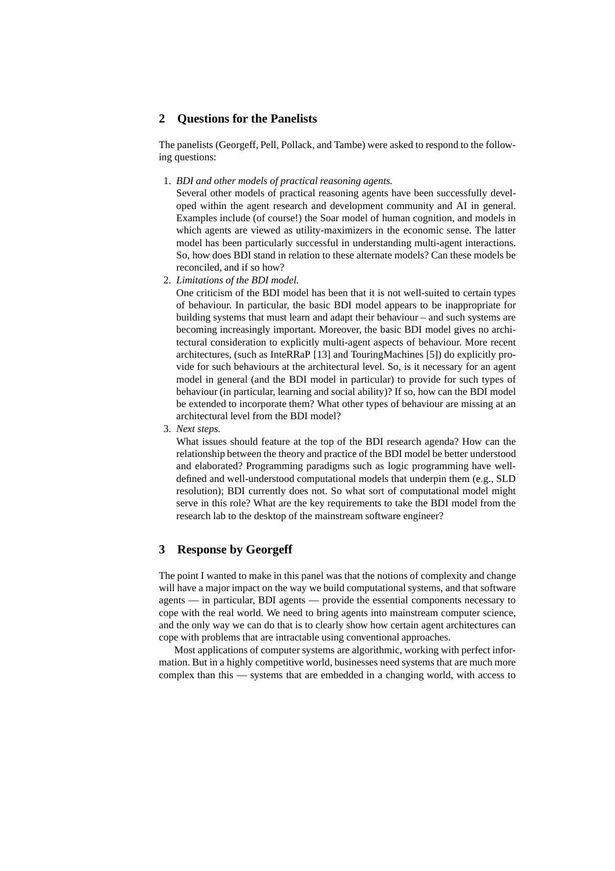### **2 Questions for the Panelists**

The panelists (Georgeff, Pell, Pollack, and Tambe) were asked to respond to the following questions:

1. *BDI and other models of practical reasoning agents.*

Several other models of practical reasoning agents have been successfully developed within the agent research and development community and AI in general. Examples include (of course!) the Soar model of human cognition, and models in which agents are viewed as utility-maximizers in the economic sense. The latter model has been particularly successful in understanding multi-agent interactions. So, how does BDI stand in relation to these alternate models? Can these models be reconciled, and if so how?

2. *Limitations of the BDI model.*

One criticism of the BDI model has been that it is not well-suited to certain types of behaviour. In particular, the basic BDI model appears to be inappropriate for building systems that must learn and adapt their behaviour – and such systems are becoming increasingly important. Moreover, the basic BDI model gives no architectural consideration to explicitly multi-agent aspects of behaviour. More recent architectures, (such as InteRRaP [13] and TouringMachines [5]) do explicitly provide for such behaviours at the architectural level. So, is it necessary for an agent model in general (and the BDI model in particular) to provide for such types of behaviour (in particular, learning and social ability)? If so, how can the BDI model be extended to incorporate them? What other types of behaviour are missing at an architectural level from the BDI model?

3. *Next steps.*

What issues should feature at the top of the BDI research agenda? How can the relationship between the theory and practice of the BDI model be better understood and elaborated? Programming paradigms such as logic programming have welldefined and well-understood computational models that underpin them (e.g., SLD resolution); BDI currently does not. So what sort of computational model might serve in this role? What are the key requirements to take the BDI model from the research lab to the desktop of the mainstream software engineer?

# **3 Response by Georgeff**

The point I wanted to make in this panel was that the notions of complexity and change will have a major impact on the way we build computational systems, and that software agents — in particular, BDI agents — provide the essential components necessary to cope with the real world. We need to bring agents into mainstream computer science, and the only way we can do that is to clearly show how certain agent architectures can cope with problems that are intractable using conventional approaches.

Most applications of computer systems are algorithmic, working with perfect information. But in a highly competitive world, businesses need systems that are much more complex than this — systems that are embedded in a changing world, with access to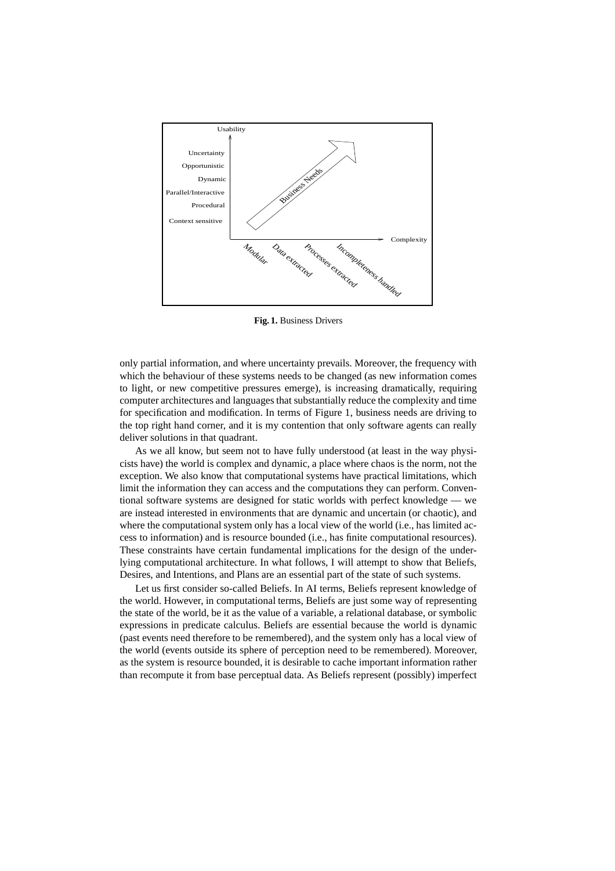

**Fig. 1.** Business Drivers

only partial information, and where uncertainty prevails. Moreover, the frequency with which the behaviour of these systems needs to be changed (as new information comes to light, or new competitive pressures emerge), is increasing dramatically, requiring computer architectures and languages that substantially reduce the complexity and time for specification and modification. In terms of Figure 1, business needs are driving to the top right hand corner, and it is my contention that only software agents can really deliver solutions in that quadrant.

As we all know, but seem not to have fully understood (at least in the way physicists have) the world is complex and dynamic, a place where chaos is the norm, not the exception. We also know that computational systems have practical limitations, which limit the information they can access and the computations they can perform. Conventional software systems are designed for static worlds with perfect knowledge — we are instead interested in environments that are dynamic and uncertain (or chaotic), and where the computational system only has a local view of the world (i.e., has limited access to information) and is resource bounded (i.e., has finite computational resources). These constraints have certain fundamental implications for the design of the underlying computational architecture. In what follows, I will attempt to show that Beliefs, Desires, and Intentions, and Plans are an essential part of the state of such systems.

Let us first consider so-called Beliefs. In AI terms, Beliefs represent knowledge of the world. However, in computational terms, Beliefs are just some way of representing the state of the world, be it as the value of a variable, a relational database, or symbolic expressions in predicate calculus. Beliefs are essential because the world is dynamic (past events need therefore to be remembered), and the system only has a local view of the world (events outside its sphere of perception need to be remembered). Moreover, as the system is resource bounded, it is desirable to cache important information rather than recompute it from base perceptual data. As Beliefs represent (possibly) imperfect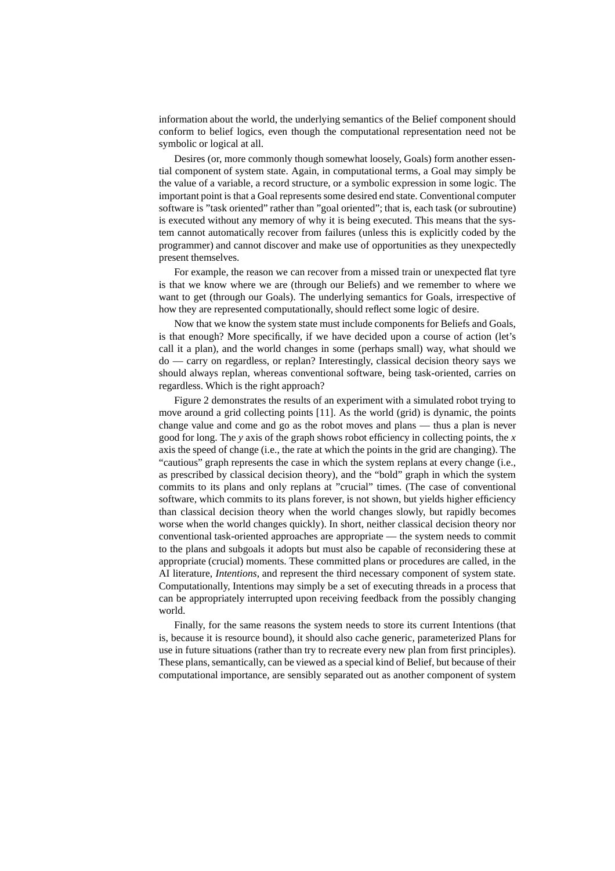information about the world, the underlying semantics of the Belief component should conform to belief logics, even though the computational representation need not be symbolic or logical at all.

Desires (or, more commonly though somewhat loosely, Goals) form another essential component of system state. Again, in computational terms, a Goal may simply be the value of a variable, a record structure, or a symbolic expression in some logic. The important point is that a Goal represents some desired end state. Conventional computer software is "task oriented" rather than "goal oriented"; that is, each task (or subroutine) is executed without any memory of why it is being executed. This means that the system cannot automatically recover from failures (unless this is explicitly coded by the programmer) and cannot discover and make use of opportunities as they unexpectedly present themselves.

For example, the reason we can recover from a missed train or unexpected flat tyre is that we know where we are (through our Beliefs) and we remember to where we want to get (through our Goals). The underlying semantics for Goals, irrespective of how they are represented computationally, should reflect some logic of desire.

Now that we know the system state must include components for Beliefs and Goals, is that enough? More specifically, if we have decided upon a course of action (let's call it a plan), and the world changes in some (perhaps small) way, what should we do — carry on regardless, or replan? Interestingly, classical decision theory says we should always replan, whereas conventional software, being task-oriented, carries on regardless. Which is the right approach?

Figure 2 demonstrates the results of an experiment with a simulated robot trying to move around a grid collecting points [11]. As the world (grid) is dynamic, the points change value and come and go as the robot moves and plans — thus a plan is never good for long. The *y* axis of the graph shows robot efficiency in collecting points, the *x* axis the speed of change (i.e., the rate at which the points in the grid are changing). The "cautious" graph represents the case in which the system replans at every change (i.e., as prescribed by classical decision theory), and the "bold" graph in which the system commits to its plans and only replans at "crucial" times. (The case of conventional software, which commits to its plans forever, is not shown, but yields higher efficiency than classical decision theory when the world changes slowly, but rapidly becomes worse when the world changes quickly). In short, neither classical decision theory nor conventional task-oriented approaches are appropriate — the system needs to commit to the plans and subgoals it adopts but must also be capable of reconsidering these at appropriate (crucial) moments. These committed plans or procedures are called, in the AI literature, *Intentions*, and represent the third necessary component of system state. Computationally, Intentions may simply be a set of executing threads in a process that can be appropriately interrupted upon receiving feedback from the possibly changing world.

Finally, for the same reasons the system needs to store its current Intentions (that is, because it is resource bound), it should also cache generic, parameterized Plans for use in future situations (rather than try to recreate every new plan from first principles). These plans, semantically, can be viewed as a special kind of Belief, but because of their computational importance, are sensibly separated out as another component of system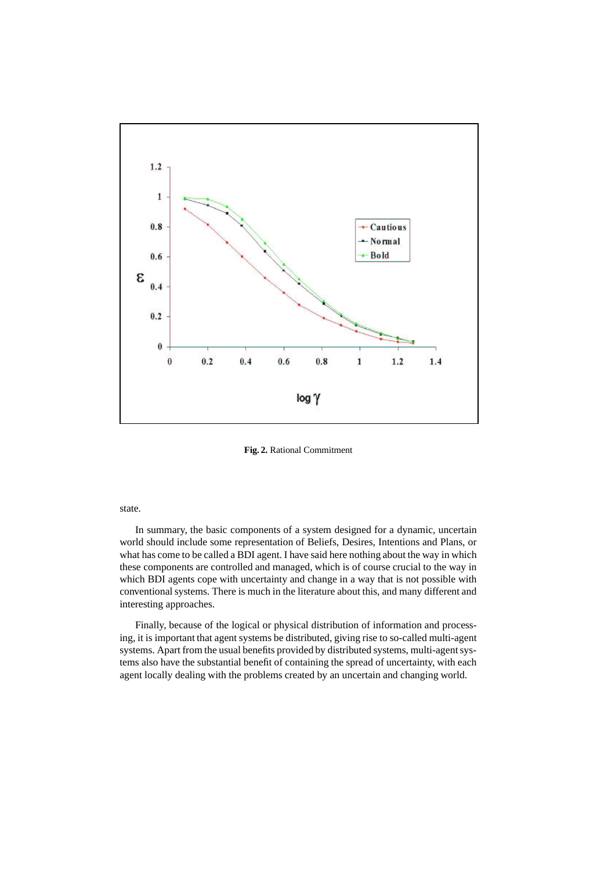

**Fig. 2.** Rational Commitment

#### state.

In summary, the basic components of a system designed for a dynamic, uncertain world should include some representation of Beliefs, Desires, Intentions and Plans, or what has come to be called a BDI agent. I have said here nothing about the way in which these components are controlled and managed, which is of course crucial to the way in which BDI agents cope with uncertainty and change in a way that is not possible with conventionalsystems. There is much in the literature about this, and many different and interesting approaches.

Finally, because of the logical or physical distribution of information and processing, it is important that agent systems be distributed, giving rise to so-called multi-agent systems. Apart from the usual benefits provided by distributed systems, multi-agent systems also have the substantial benefit of containing the spread of uncertainty, with each agent locally dealing with the problems created by an uncertain and changing world.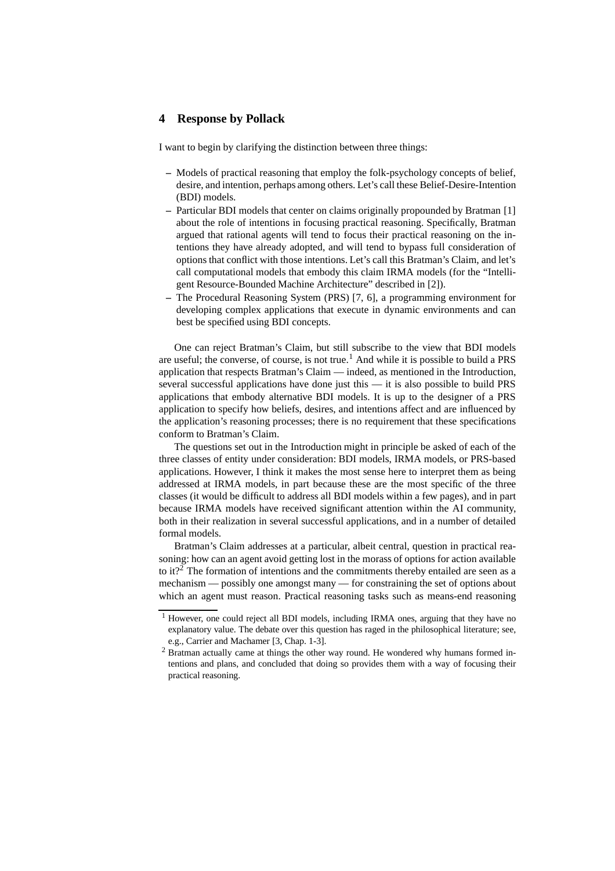# **4 Response by Pollack**

I want to begin by clarifying the distinction between three things:

- **–** Models of practical reasoning that employ the folk-psychology concepts of belief, desire, and intention, perhaps among others. Let's call these Belief-Desire-Intention (BDI) models.
- **–** Particular BDI models that center on claims originally propounded by Bratman [1] about the role of intentions in focusing practical reasoning. Specifically, Bratman argued that rational agents will tend to focus their practical reasoning on the intentions they have already adopted, and will tend to bypass full consideration of options that conflict with those intentions. Let's call this Bratman's Claim, and let's call computational models that embody this claim IRMA models (for the "Intelligent Resource-Bounded Machine Architecture" described in [2]).
- **–** The Procedural Reasoning System (PRS) [7, 6], a programming environment for developing complex applications that execute in dynamic environments and can best be specified using BDI concepts.

One can reject Bratman's Claim, but still subscribe to the view that BDI models are useful; the converse, of course, is not true.<sup>1</sup> And while it is possible to build a PRS application that respects Bratman's Claim — indeed, as mentioned in the Introduction, several successful applications have done just this — it is also possible to build PRS applications that embody alternative BDI models. It is up to the designer of a PRS application to specify how beliefs, desires, and intentions affect and are influenced by the application's reasoning processes; there is no requirement that these specifications conform to Bratman's Claim.

The questions set out in the Introduction might in principle be asked of each of the three classes of entity under consideration: BDI models, IRMA models, or PRS-based applications. However, I think it makes the most sense here to interpret them as being addressed at IRMA models, in part because these are the most specific of the three classes (it would be difficult to address all BDI models within a few pages), and in part because IRMA models have received significant attention within the AI community, both in their realization in several successful applications, and in a number of detailed formal models.

Bratman's Claim addresses at a particular, albeit central, question in practical reasoning: how can an agent avoid getting lost in the morass of options for action available to it?<sup>2</sup> The formation of intentions and the commitments thereby entailed are seen as a mechanism — possibly one amongst many — for constraining the set of options about which an agent must reason. Practical reasoning tasks such as means-end reasoning

<sup>1</sup> However, one could reject all BDI models, including IRMA ones, arguing that they have no explanatory value. The debate over this question has raged in the philosophical literature; see, e.g., Carrier and Machamer [3, Chap. 1-3].

<sup>&</sup>lt;sup>2</sup> Bratman actually came at things the other way round. He wondered why humans formed intentions and plans, and concluded that doing so provides them with a way of focusing their practical reasoning.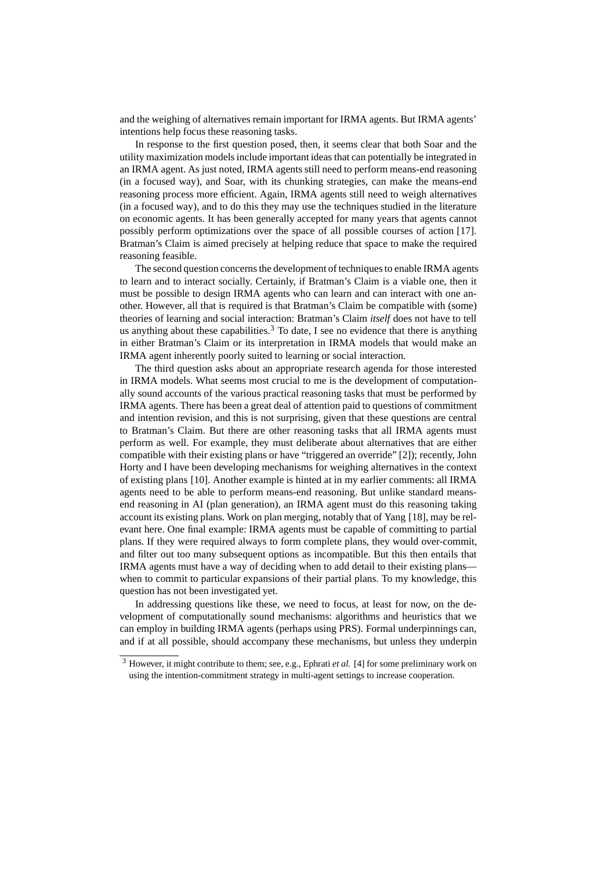and the weighing of alternatives remain important for IRMA agents. But IRMA agents' intentions help focus these reasoning tasks.

In response to the first question posed, then, it seems clear that both Soar and the utility maximization modelsinclude important ideas that can potentially be integrated in an IRMA agent. As just noted, IRMA agents still need to perform means-end reasoning (in a focused way), and Soar, with its chunking strategies, can make the means-end reasoning process more efficient. Again, IRMA agents still need to weigh alternatives (in a focused way), and to do this they may use the techniques studied in the literature on economic agents. It has been generally accepted for many years that agents cannot possibly perform optimizations over the space of all possible courses of action [17]. Bratman's Claim is aimed precisely at helping reduce that space to make the required reasoning feasible.

The second question concerns the development of techniques to enable IRMA agents to learn and to interact socially. Certainly, if Bratman's Claim is a viable one, then it must be possible to design IRMA agents who can learn and can interact with one another. However, all that is required is that Bratman's Claim be compatible with (some) theories of learning and social interaction: Bratman's Claim *itself* does not have to tell us anything about these capabilities.<sup>3</sup> To date, I see no evidence that there is anything in either Bratman's Claim or its interpretation in IRMA models that would make an IRMA agent inherently poorly suited to learning or social interaction.

The third question asks about an appropriate research agenda for those interested in IRMA models. What seems most crucial to me is the development of computationally sound accounts of the various practical reasoning tasks that must be performed by IRMA agents. There has been a great deal of attention paid to questions of commitment and intention revision, and this is not surprising, given that these questions are central to Bratman's Claim. But there are other reasoning tasks that all IRMA agents must perform as well. For example, they must deliberate about alternatives that are either compatible with their existing plans or have "triggered an override" [2]); recently, John Horty and I have been developing mechanisms for weighing alternatives in the context of existing plans [10]. Another example is hinted at in my earlier comments: all IRMA agents need to be able to perform means-end reasoning. But unlike standard meansend reasoning in AI (plan generation), an IRMA agent must do this reasoning taking account its existing plans. Work on plan merging, notably that of Yang [18], may be relevant here. One final example: IRMA agents must be capable of committing to partial plans. If they were required always to form complete plans, they would over-commit, and filter out too many subsequent options as incompatible. But this then entails that IRMA agents must have a way of deciding when to add detail to their existing plans when to commit to particular expansions of their partial plans. To my knowledge, this question has not been investigated yet.

In addressing questions like these, we need to focus, at least for now, on the development of computationally sound mechanisms: algorithms and heuristics that we can employ in building IRMA agents (perhaps using PRS). Formal underpinnings can, and if at all possible, should accompany these mechanisms, but unless they underpin

<sup>3</sup> However, it might contribute to them; see, e.g., Ephrati *et al.* [4] for some preliminary work on using the intention-commitment strategy in multi-agent settings to increase cooperation.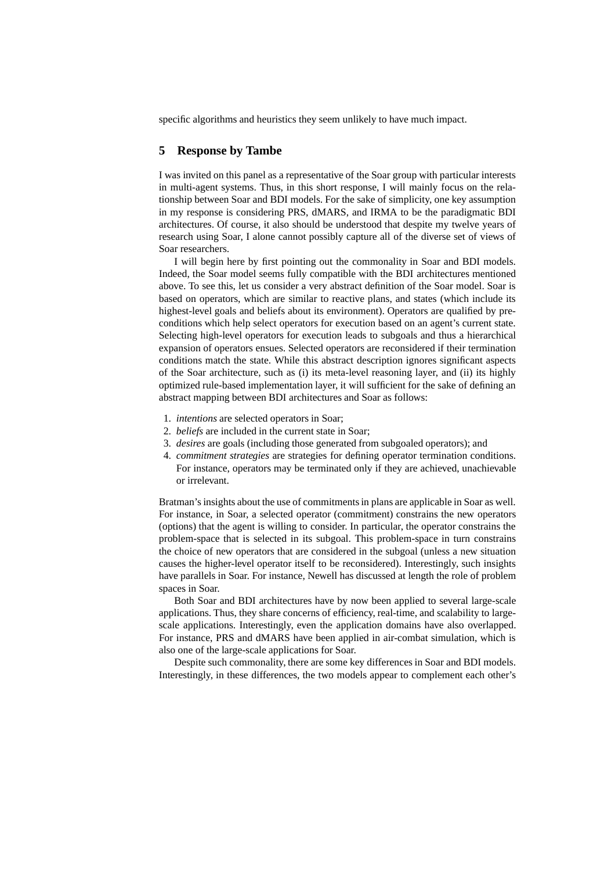specific algorithms and heuristics they seem unlikely to have much impact.

# **5 Response by Tambe**

I was invited on this panel as a representative of the Soar group with particular interests in multi-agent systems. Thus, in this short response, I will mainly focus on the relationship between Soar and BDI models. For the sake of simplicity, one key assumption in my response is considering PRS, dMARS, and IRMA to be the paradigmatic BDI architectures. Of course, it also should be understood that despite my twelve years of research using Soar, I alone cannot possibly capture all of the diverse set of views of Soar researchers.

I will begin here by first pointing out the commonality in Soar and BDI models. Indeed, the Soar model seems fully compatible with the BDI architectures mentioned above. To see this, let us consider a very abstract definition of the Soar model. Soar is based on operators, which are similar to reactive plans, and states (which include its highest-level goals and beliefs about its environment). Operators are qualified by preconditions which help select operators for execution based on an agent's current state. Selecting high-level operators for execution leads to subgoals and thus a hierarchical expansion of operators ensues. Selected operators are reconsidered if their termination conditions match the state. While this abstract description ignores significant aspects of the Soar architecture, such as (i) its meta-level reasoning layer, and (ii) its highly optimized rule-based implementation layer, it will sufficient for the sake of defining an abstract mapping between BDI architectures and Soar as follows:

- 1. *intentions* are selected operators in Soar;
- 2. *beliefs* are included in the current state in Soar;
- 3. *desires* are goals (including those generated from subgoaled operators); and
- 4. *commitment strategies* are strategies for defining operator termination conditions. For instance, operators may be terminated only if they are achieved, unachievable or irrelevant.

Bratman's insights about the use of commitmentsin plans are applicable in Soar as well. For instance, in Soar, a selected operator (commitment) constrains the new operators (options) that the agent is willing to consider. In particular, the operator constrains the problem-space that is selected in its subgoal. This problem-space in turn constrains the choice of new operators that are considered in the subgoal (unless a new situation causes the higher-level operator itself to be reconsidered). Interestingly, such insights have parallels in Soar. For instance, Newell has discussed at length the role of problem spaces in Soar.

Both Soar and BDI architectures have by now been applied to several large-scale applications. Thus, they share concerns of efficiency, real-time, and scalability to largescale applications. Interestingly, even the application domains have also overlapped. For instance, PRS and dMARS have been applied in air-combat simulation, which is also one of the large-scale applications for Soar.

Despite such commonality, there are some key differences in Soar and BDI models. Interestingly, in these differences, the two models appear to complement each other's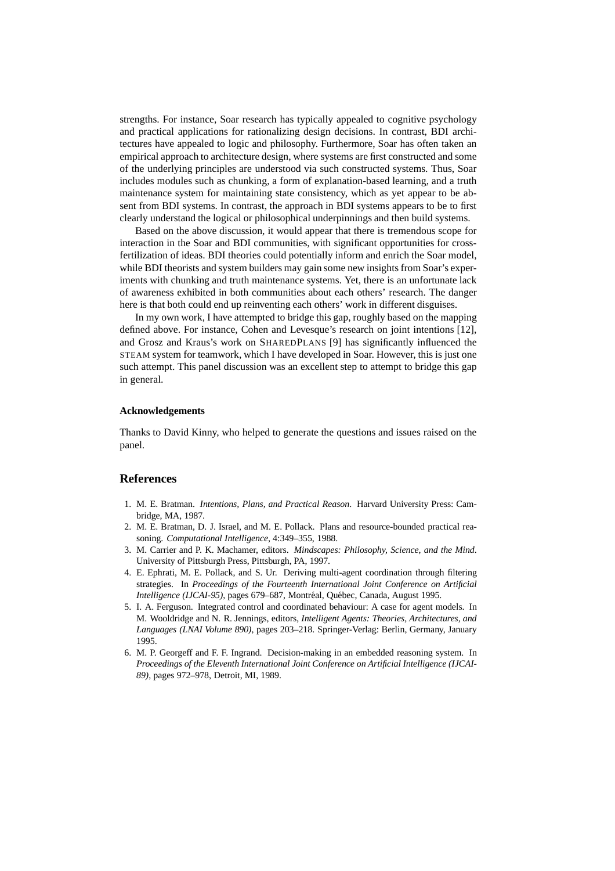strengths. For instance, Soar research has typically appealed to cognitive psychology and practical applications for rationalizing design decisions. In contrast, BDI architectures have appealed to logic and philosophy. Furthermore, Soar has often taken an empirical approach to architecture design, where systems are first constructed and some of the underlying principles are understood via such constructed systems. Thus, Soar includes modules such as chunking, a form of explanation-based learning, and a truth maintenance system for maintaining state consistency, which as yet appear to be absent from BDI systems. In contrast, the approach in BDI systems appears to be to first clearly understand the logical or philosophical underpinnings and then build systems.

Based on the above discussion, it would appear that there is tremendous scope for interaction in the Soar and BDI communities, with significant opportunities for crossfertilization of ideas. BDI theories could potentially inform and enrich the Soar model, while BDI theorists and system builders may gain some new insights from Soar's experiments with chunking and truth maintenance systems. Yet, there is an unfortunate lack of awareness exhibited in both communities about each others' research. The danger here is that both could end up reinventing each others' work in different disguises.

In my own work, I have attempted to bridge this gap, roughly based on the mapping defined above. For instance, Cohen and Levesque's research on joint intentions [12], and Grosz and Kraus's work on SHAREDPLANS [9] has significantly influenced the STEAM system for teamwork, which I have developed in Soar. However, this is just one such attempt. This panel discussion was an excellent step to attempt to bridge this gap in general.

#### **Acknowledgements**

Thanks to David Kinny, who helped to generate the questions and issues raised on the panel.

#### **References**

- 1. M. E. Bratman. *Intentions, Plans, and Practical Reason*. Harvard University Press: Cambridge, MA, 1987.
- 2. M. E. Bratman, D. J. Israel, and M. E. Pollack. Plans and resource-bounded practical reasoning. *Computational Intelligence*, 4:349–355, 1988.
- 3. M. Carrier and P. K. Machamer, editors. *Mindscapes: Philosophy, Science, and the Mind*. University of Pittsburgh Press, Pittsburgh, PA, 1997.
- 4. E. Ephrati, M. E. Pollack, and S. Ur. Deriving multi-agent coordination through filtering strategies. In *Proceedings of the Fourteenth International Joint Conference on Artificial Intelligence* (IJCAI-95), pages 679-687, Montréal, Québec, Canada, August 1995.
- 5. I. A. Ferguson. Integrated control and coordinated behaviour: A case for agent models. In M. Wooldridge and N. R. Jennings, editors, *Intelligent Agents: Theories, Architectures, and Languages (LNAI Volume 890)*, pages 203–218. Springer-Verlag: Berlin, Germany, January 1995.
- 6. M. P. Georgeff and F. F. Ingrand. Decision-making in an embedded reasoning system. In *Proceedings of the Eleventh International Joint Conference on Artificial Intelligence (IJCAI-89)*, pages 972–978, Detroit, MI, 1989.